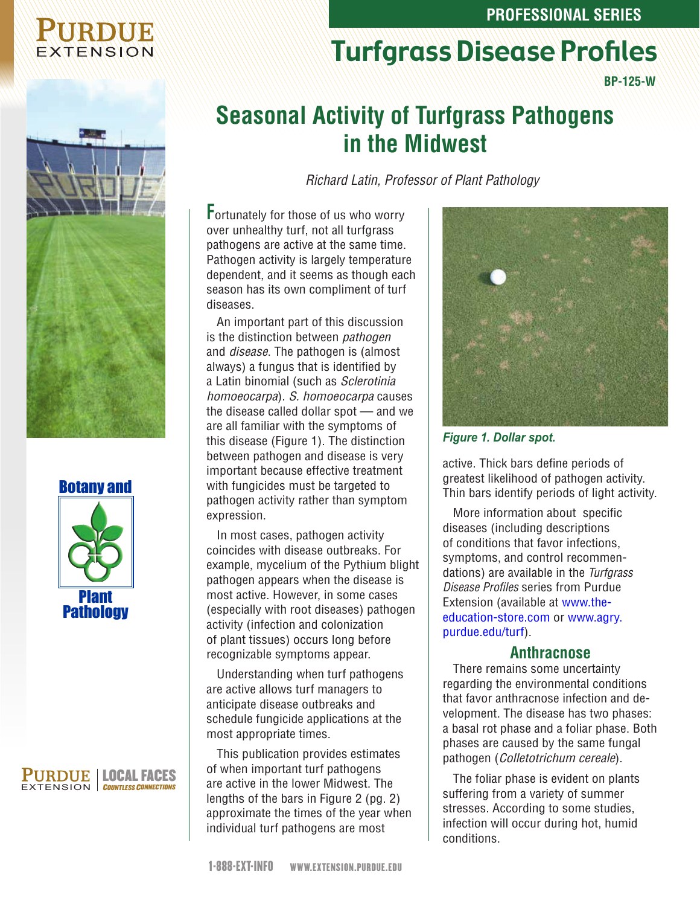#### **PROFESSIONAL SERIES**

Turfgrass Disease Profiles

# EXTENSION

**BP-125-W**



#### Botany and



#### 'URDUE | LOCAL FACES EXTENSION COUNTLESS CONNECTION

# **Seasonal Activity of Turfgrass Pathogens in the Midwest**

*Richard Latin, Professor of Plant Pathology*

**F**ortunately for those of us who worry over unhealthy turf, not all turfgrass pathogens are active at the same time. Pathogen activity is largely temperature dependent, and it seems as though each season has its own compliment of turf diseases.

An important part of this discussion is the distinction between *pathogen* and *disease*. The pathogen is (almost always) a fungus that is identified by a Latin binomial (such as *Sclerotinia homoeocarpa*). *S. homoeocarpa* causes the disease called dollar spot — and we are all familiar with the symptoms of this disease (Figure 1). The distinction between pathogen and disease is very important because effective treatment with fungicides must be targeted to pathogen activity rather than symptom expression.

In most cases, pathogen activity coincides with disease outbreaks. For example, mycelium of the Pythium blight pathogen appears when the disease is most active. However, in some cases (especially with root diseases) pathogen activity (infection and colonization of plant tissues) occurs long before recognizable symptoms appear.

Understanding when turf pathogens are active allows turf managers to anticipate disease outbreaks and schedule fungicide applications at the most appropriate times.

This publication provides estimates of when important turf pathogens are active in the lower Midwest. The lengths of the bars in Figure 2 (pg. 2) approximate the times of the year when individual turf pathogens are most



#### *Figure 1. Dollar spot.*

active. Thick bars define periods of greatest likelihood of pathogen activity. Thin bars identify periods of light activity.

More information about specific diseases (including descriptions of conditions that favor infections, symptoms, and control recommendations) are available in the *Turfgrass Disease Profiles* series from Purdue Extension (available at www.theeducation-store.com or [www.agry.](http://www.agry.purdue.edu/turf) [purdue.edu/turf\).](http://www.agry.purdue.edu/turf)

#### **Anthracnose**

There remains some uncertainty regarding the environmental conditions that favor anthracnose infection and development. The disease has two phases: a basal rot phase and a foliar phase. Both phases are caused by the same fungal pathogen (*Colletotrichum cereale*).

The foliar phase is evident on plants suffering from a variety of summer stresses. According to some studies, infection will occur during hot, humid conditions.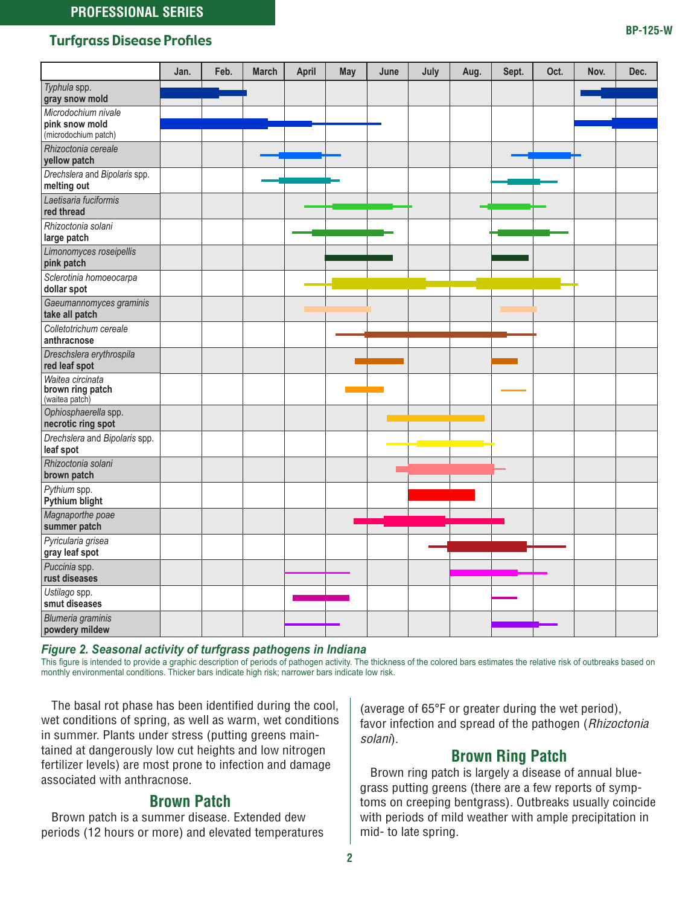#### Turfgrass Disease Profiles

*Typhula* spp. **gray snow mold** *Microdochium nivale* **pink snow mold** (microdochium patch) *Rhizoctonia cereale* **yellow patch**

|      | <b>PHILES</b> |              |       |     |      |      |      |       |      |      |      |
|------|---------------|--------------|-------|-----|------|------|------|-------|------|------|------|
| Jan. | Feb.          | <b>March</b> | April | May | June | July | Aug. | Sept. | Oct. | Nov. | Dec. |
|      |               |              |       |     |      |      |      |       |      |      |      |
|      |               |              |       |     |      |      |      |       |      |      |      |
|      |               |              |       |     |      |      |      |       |      |      |      |
|      |               |              |       |     |      |      |      |       |      |      |      |
|      |               |              |       |     |      |      |      |       |      |      |      |
|      |               |              |       |     |      |      |      |       |      |      |      |
|      |               |              |       |     |      |      |      |       |      |      |      |
|      |               |              |       |     |      |      |      |       |      |      |      |
|      |               |              |       |     |      |      |      |       |      |      |      |

| , <b>.</b>                                             |  |  |  |  |  |  |
|--------------------------------------------------------|--|--|--|--|--|--|
| Drechslera and Bipolaris spp.<br>melting out           |  |  |  |  |  |  |
| Laetisaria fuciformis<br>red thread                    |  |  |  |  |  |  |
| Rhizoctonia solani<br>large patch                      |  |  |  |  |  |  |
| Limonomyces roseipellis<br>pink patch                  |  |  |  |  |  |  |
| Sclerotinia homoeocarpa<br>dollar spot                 |  |  |  |  |  |  |
| Gaeumannomyces graminis<br>take all patch              |  |  |  |  |  |  |
| Colletotrichum cereale<br>anthracnose                  |  |  |  |  |  |  |
| Dreschslera erythrospila<br>red leaf spot              |  |  |  |  |  |  |
| Waitea circinata<br>brown ring patch<br>(waitea patch) |  |  |  |  |  |  |
| Ophiosphaerella spp.<br>necrotic ring spot             |  |  |  |  |  |  |
| Drechslera and Bipolaris spp.<br>leaf spot             |  |  |  |  |  |  |
| Rhizoctonia solani<br>brown patch                      |  |  |  |  |  |  |
| Pythium spp.<br>Pythium blight                         |  |  |  |  |  |  |
| Magnaporthe poae<br>summer patch                       |  |  |  |  |  |  |
| Pyricularia grisea<br>gray leaf spot                   |  |  |  |  |  |  |
| Puccinia spp.<br>rust diseases                         |  |  |  |  |  |  |
| Ustilago spp.<br>smut diseases                         |  |  |  |  |  |  |
| Blumeria graminis<br>powdery mildew                    |  |  |  |  |  |  |

*Figure 2. Seasonal activity of turfgrass pathogens in Indiana*

This figure is intended to provide a graphic description of periods of pathogen activity. The thickness of the colored bars estimates the relative risk of outbreaks based on monthly environmental conditions. Thicker bars indicate high risk; narrower bars indicate low risk.

The basal rot phase has been identified during the cool, wet conditions of spring, as well as warm, wet conditions in summer. Plants under stress (putting greens maintained at dangerously low cut heights and low nitrogen fertilizer levels) are most prone to infection and damage associated with anthracnose.

## **Brown Patch**

Brown patch is a summer disease. Extended dew periods (12 hours or more) and elevated temperatures

(average of 65°F or greater during the wet period), favor infection and spread of the pathogen (*Rhizoctonia solani*).

## **Brown Ring Patch**

Brown ring patch is largely a disease of annual bluegrass putting greens (there are a few reports of symptoms on creeping bentgrass). Outbreaks usually coincide with periods of mild weather with ample precipitation in mid- to late spring.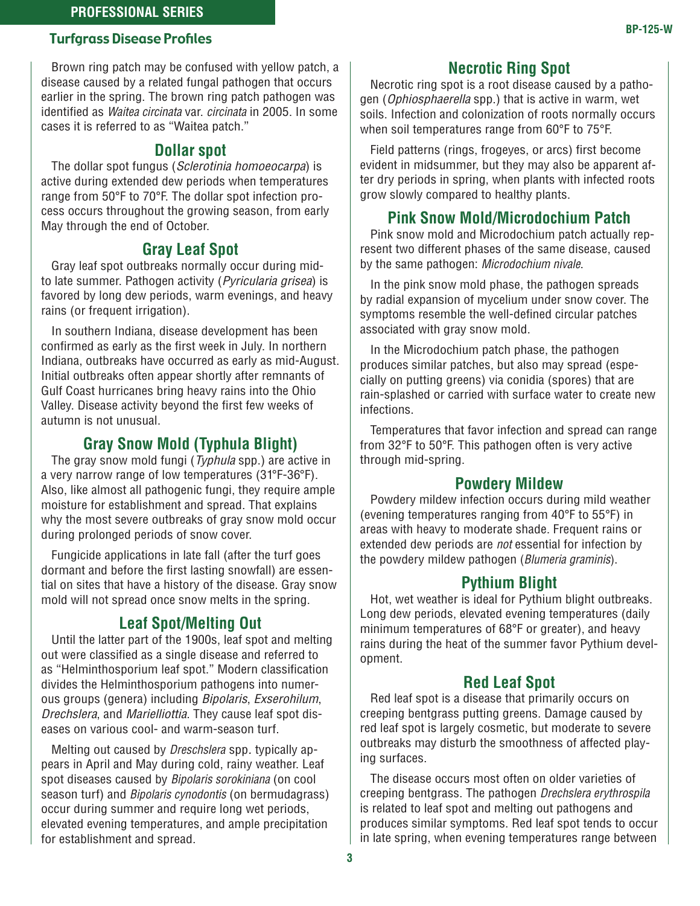#### **PROFESSIONAL SERIES**

# **Turfgrass Disease Profiles BP-125-W**

Brown ring patch may be confused with yellow patch, a disease caused by a related fungal pathogen that occurs earlier in the spring. The brown ring patch pathogen was identified as *Waitea circinata* var. *circinata* in 2005. In some cases it is referred to as "Waitea patch."

#### **Dollar spot**

The dollar spot fungus (*Sclerotinia homoeocarpa*) is active during extended dew periods when temperatures range from 50°F to 70°F. The dollar spot infection process occurs throughout the growing season, from early May through the end of October.

#### **Gray Leaf Spot**

Gray leaf spot outbreaks normally occur during midto late summer. Pathogen activity (*Pyricularia grisea*) is favored by long dew periods, warm evenings, and heavy rains (or frequent irrigation).

In southern Indiana, disease development has been confirmed as early as the first week in July. In northern Indiana, outbreaks have occurred as early as mid-August. Initial outbreaks often appear shortly after remnants of Gulf Coast hurricanes bring heavy rains into the Ohio Valley. Disease activity beyond the first few weeks of autumn is not unusual.

#### **Gray Snow Mold (Typhula Blight)**

The gray snow mold fungi (*Typhula* spp.) are active in a very narrow range of low temperatures (31°F-36°F). Also, like almost all pathogenic fungi, they require ample moisture for establishment and spread. That explains why the most severe outbreaks of gray snow mold occur during prolonged periods of snow cover.

Fungicide applications in late fall (after the turf goes dormant and before the first lasting snowfall) are essential on sites that have a history of the disease. Gray snow mold will not spread once snow melts in the spring.

#### **Leaf Spot/Melting Out**

Until the latter part of the 1900s, leaf spot and melting out were classified as a single disease and referred to as "Helminthosporium leaf spot." Modern classification divides the Helminthosporium pathogens into numerous groups (genera) including *Bipolaris*, *Exserohilum*, *Drechslera*, and *Marielliottia*. They cause leaf spot diseases on various cool- and warm-season turf.

Melting out caused by *Dreschslera* spp*.* typically appears in April and May during cold, rainy weather. Leaf spot diseases caused by *Bipolaris sorokiniana* (on cool season turf) and *Bipolaris cynodontis* (on bermudagrass) occur during summer and require long wet periods, elevated evening temperatures, and ample precipitation for establishment and spread.

#### **Necrotic Ring Spot**

Necrotic ring spot is a root disease caused by a pathogen (*Ophiosphaerella* spp.) that is active in warm, wet soils. Infection and colonization of roots normally occurs when soil temperatures range from 60°F to 75°F.

Field patterns (rings, frogeyes, or arcs) first become evident in midsummer, but they may also be apparent after dry periods in spring, when plants with infected roots grow slowly compared to healthy plants.

#### **Pink Snow Mold/Microdochium Patch**

Pink snow mold and Microdochium patch actually represent two different phases of the same disease, caused by the same pathogen: *Microdochium nivale*.

In the pink snow mold phase, the pathogen spreads by radial expansion of mycelium under snow cover. The symptoms resemble the well-defined circular patches associated with gray snow mold.

In the Microdochium patch phase, the pathogen produces similar patches, but also may spread (especially on putting greens) via conidia (spores) that are rain-splashed or carried with surface water to create new infections.

Temperatures that favor infection and spread can range from 32°F to 50°F. This pathogen often is very active through mid-spring.

#### **Powdery Mildew**

Powdery mildew infection occurs during mild weather (evening temperatures ranging from 40°F to 55°F) in areas with heavy to moderate shade. Frequent rains or extended dew periods are *not* essential for infection by the powdery mildew pathogen (*Blumeria graminis*).

#### **Pythium Blight**

Hot, wet weather is ideal for Pythium blight outbreaks. Long dew periods, elevated evening temperatures (daily minimum temperatures of 68°F or greater), and heavy rains during the heat of the summer favor Pythium development.

#### **Red Leaf Spot**

Red leaf spot is a disease that primarily occurs on creeping bentgrass putting greens. Damage caused by red leaf spot is largely cosmetic, but moderate to severe outbreaks may disturb the smoothness of affected playing surfaces.

The disease occurs most often on older varieties of creeping bentgrass. The pathogen *Drechslera erythrospila* is related to leaf spot and melting out pathogens and produces similar symptoms. Red leaf spot tends to occur in late spring, when evening temperatures range between